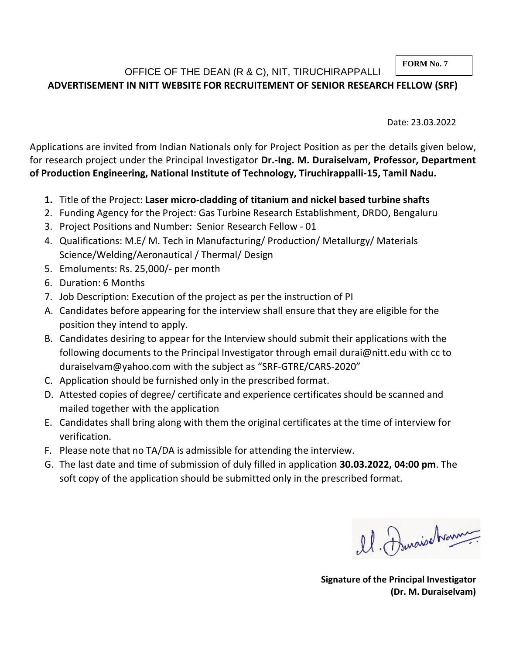#### **FORM No. 7**

## OFFICE OF THE DEAN (R & C), NIT, TIRUCHIRAPPALLI **ADVERTISEMENT IN NITT WEBSITE FOR RECRUITEMENT OF SENIOR RESEARCH FELLOW (SRF)**

Date: 23.03.2022

Applications are invited from Indian Nationals only for Project Position as per the details given below, for research project under the Principal Investigator **Dr.-Ing. M. Duraiselvam, Professor, Department of Production Engineering, National Institute of Technology, Tiruchirappalli-15, Tamil Nadu.**

- **1.** Title of the Project: **Laser micro-cladding of titanium and nickel based turbine shafts**
- 2. Funding Agency for the Project: Gas Turbine Research Establishment, DRDO, Bengaluru
- 3. Project Positions and Number: Senior Research Fellow 01
- 4. Qualifications: M.E/ M. Tech in Manufacturing/ Production/ Metallurgy/ Materials Science/Welding/Aeronautical / Thermal/ Design
- 5. Emoluments: Rs. 25,000/- per month
- 6. Duration: 6 Months
- 7. Job Description: Execution of the project as per the instruction of PI
- A. Candidates before appearing for the interview shall ensure that they are eligible for the position they intend to apply.
- B. Candidates desiring to appear for the Interview should submit their applications with the following documents to the Principal Investigator through email durai@nitt.edu with cc to duraiselvam@yahoo.com with the subject as "SRF-GTRE/CARS-2020"
- C. Application should be furnished only in the prescribed format.
- D. Attested copies of degree/ certificate and experience certificates should be scanned and mailed together with the application
- E. Candidates shall bring along with them the original certificates at the time of interview for verification.
- F. Please note that no TA/DA is admissible for attending the interview.
- G. The last date and time of submission of duly filled in application **30.03.2022, 04:00 pm**. The soft copy of the application should be submitted only in the prescribed format.

el. Duraisonne

**Signature of the Principal Investigator (Dr. M. Duraiselvam)**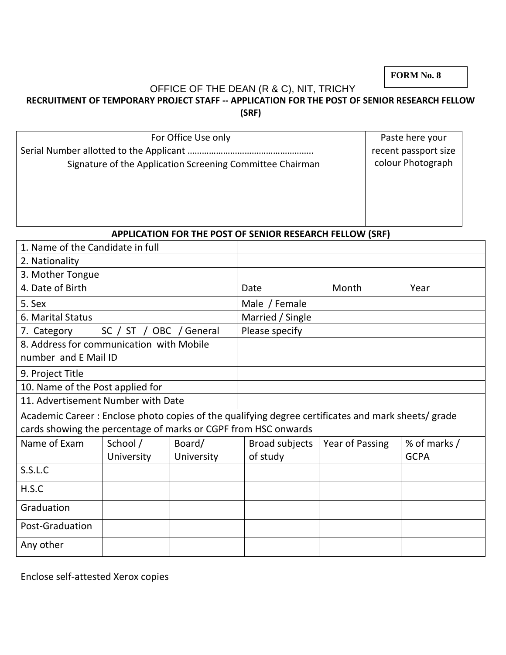**FORM No. 8**

# OFFICE OF THE DEAN (R & C), NIT, TRICHY

## **RECRUITMENT OF TEMPORARY PROJECT STAFF -- APPLICATION FOR THE POST OF SENIOR RESEARCH FELLOW (SRF)**

| For Office Use only                                       | Paste here your      |
|-----------------------------------------------------------|----------------------|
|                                                           | recent passport size |
| Signature of the Application Screening Committee Chairman | colour Photograph    |
|                                                           |                      |
|                                                           |                      |
|                                                           |                      |
|                                                           |                      |

#### **APPLICATION FOR THE POST OF SENIOR RESEARCH FELLOW (SRF)**

| 1. Name of the Candidate in full                                                                   |            |                |                  |                 |              |
|----------------------------------------------------------------------------------------------------|------------|----------------|------------------|-----------------|--------------|
| 2. Nationality                                                                                     |            |                |                  |                 |              |
| 3. Mother Tongue                                                                                   |            |                |                  |                 |              |
| 4. Date of Birth                                                                                   |            |                | Date             | Month           | Year         |
| 5. Sex                                                                                             |            |                | Male / Female    |                 |              |
| 6. Marital Status                                                                                  |            |                | Married / Single |                 |              |
| 7. Category<br>SC / ST /<br><b>OBC</b><br>General                                                  |            | Please specify |                  |                 |              |
| 8. Address for communication with Mobile                                                           |            |                |                  |                 |              |
| number and E Mail ID                                                                               |            |                |                  |                 |              |
| 9. Project Title                                                                                   |            |                |                  |                 |              |
| 10. Name of the Post applied for                                                                   |            |                |                  |                 |              |
| 11. Advertisement Number with Date                                                                 |            |                |                  |                 |              |
| Academic Career: Enclose photo copies of the qualifying degree certificates and mark sheets/ grade |            |                |                  |                 |              |
| cards showing the percentage of marks or CGPF from HSC onwards                                     |            |                |                  |                 |              |
| Name of Exam                                                                                       | School /   | Board/         | Broad subjects   | Year of Passing | % of marks / |
|                                                                                                    | University | University     | of study         |                 | <b>GCPA</b>  |
| S.S.L.C                                                                                            |            |                |                  |                 |              |
| H.S.C                                                                                              |            |                |                  |                 |              |
| Graduation                                                                                         |            |                |                  |                 |              |
| Post-Graduation                                                                                    |            |                |                  |                 |              |
| Any other                                                                                          |            |                |                  |                 |              |

Enclose self-attested Xerox copies